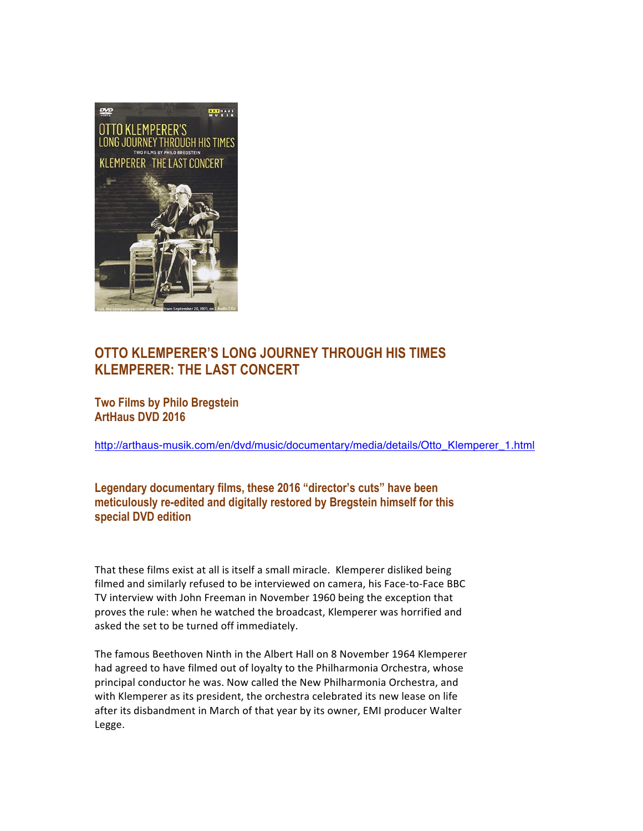

## **OTTO KLEMPERER'S LONG JOURNEY THROUGH HIS TIMES KLEMPERER: THE LAST CONCERT**

**Two Films by Philo Bregstein ArtHaus DVD 2016**

http://arthaus-musik.com/en/dvd/music/documentary/media/details/Otto\_Klemperer\_1.html

**Legendary documentary films, these 2016 "director's cuts" have been meticulously re-edited and digitally restored by Bregstein himself for this special DVD edition** 

That these films exist at all is itself a small miracle. Klemperer disliked being filmed and similarly refused to be interviewed on camera, his Face-to-Face BBC TV interview with John Freeman in November 1960 being the exception that proves the rule: when he watched the broadcast, Klemperer was horrified and asked the set to be turned off immediately.

The famous Beethoven Ninth in the Albert Hall on 8 November 1964 Klemperer had agreed to have filmed out of loyalty to the Philharmonia Orchestra, whose principal conductor he was. Now called the New Philharmonia Orchestra, and with Klemperer as its president, the orchestra celebrated its new lease on life after its disbandment in March of that year by its owner, EMI producer Walter Legge.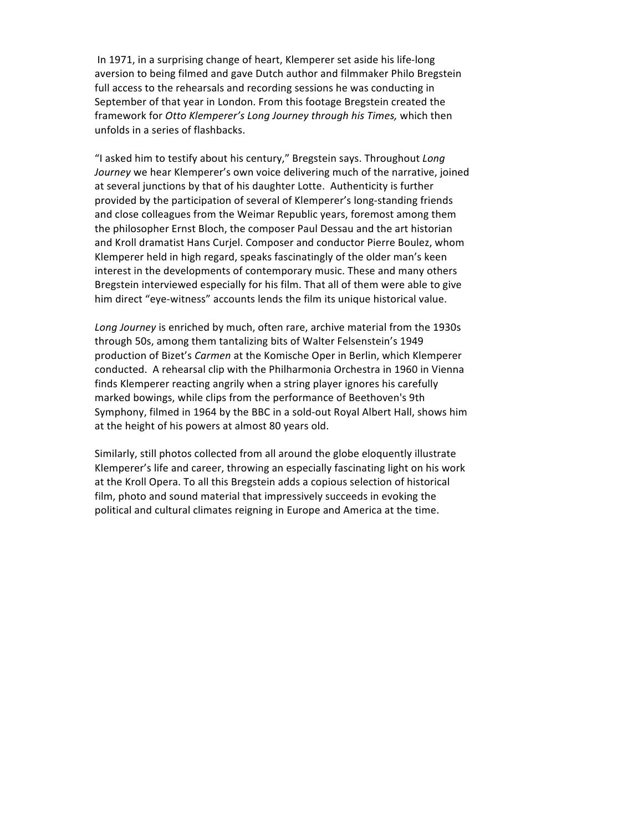In 1971, in a surprising change of heart, Klemperer set aside his life-long aversion to being filmed and gave Dutch author and filmmaker Philo Bregstein full access to the rehearsals and recording sessions he was conducting in September of that year in London. From this footage Bregstein created the framework for *Otto Klemperer's Long Journey through his Times,* which then unfolds in a series of flashbacks.

"I asked him to testify about his century," Bregstein says. Throughout *Long* Journey we hear Klemperer's own voice delivering much of the narrative, joined at several junctions by that of his daughter Lotte. Authenticity is further provided by the participation of several of Klemperer's long-standing friends and close colleagues from the Weimar Republic years, foremost among them the philosopher Ernst Bloch, the composer Paul Dessau and the art historian and Kroll dramatist Hans Curjel. Composer and conductor Pierre Boulez, whom Klemperer held in high regard, speaks fascinatingly of the older man's keen interest in the developments of contemporary music. These and many others Bregstein interviewed especially for his film. That all of them were able to give him direct "eye-witness" accounts lends the film its unique historical value.

Long Journey is enriched by much, often rare, archive material from the 1930s through 50s, among them tantalizing bits of Walter Felsenstein's 1949 production of Bizet's *Carmen* at the Komische Oper in Berlin, which Klemperer conducted. A rehearsal clip with the Philharmonia Orchestra in 1960 in Vienna finds Klemperer reacting angrily when a string player ignores his carefully marked bowings, while clips from the performance of Beethoven's 9th Symphony, filmed in 1964 by the BBC in a sold-out Royal Albert Hall, shows him at the height of his powers at almost 80 years old.

Similarly, still photos collected from all around the globe eloquently illustrate Klemperer's life and career, throwing an especially fascinating light on his work at the Kroll Opera. To all this Bregstein adds a copious selection of historical film, photo and sound material that impressively succeeds in evoking the political and cultural climates reigning in Europe and America at the time.